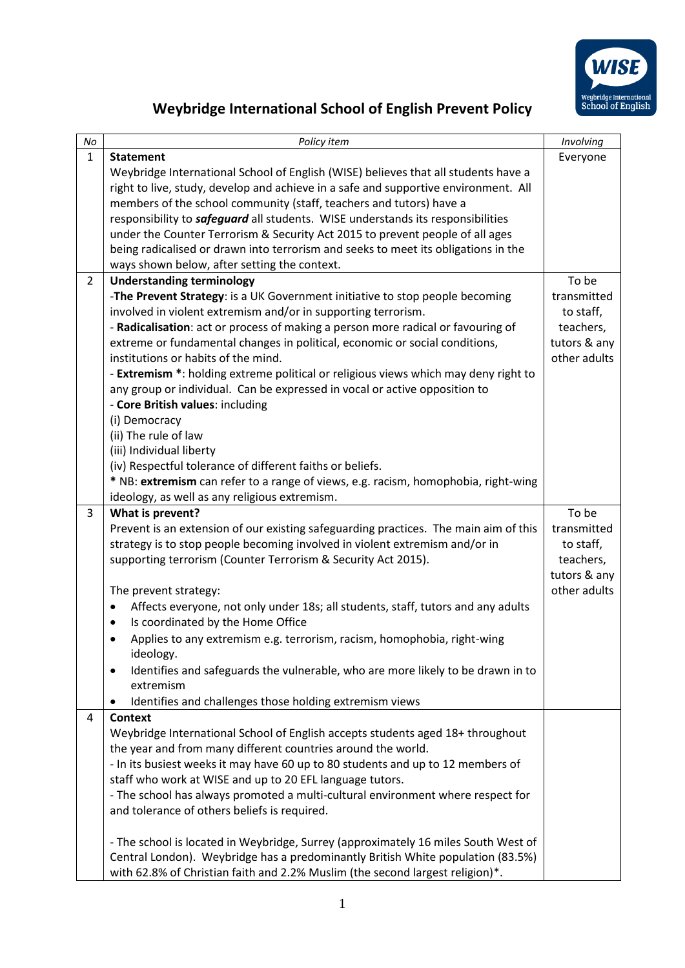

## **Weybridge International School of English Prevent Policy**

| No             | Policy item                                                                                                                                                           | Involving                 |
|----------------|-----------------------------------------------------------------------------------------------------------------------------------------------------------------------|---------------------------|
| $\mathbf{1}$   | <b>Statement</b>                                                                                                                                                      | Everyone                  |
|                | Weybridge International School of English (WISE) believes that all students have a                                                                                    |                           |
|                | right to live, study, develop and achieve in a safe and supportive environment. All                                                                                   |                           |
|                | members of the school community (staff, teachers and tutors) have a                                                                                                   |                           |
|                | responsibility to <i>safeguard</i> all students. WISE understands its responsibilities                                                                                |                           |
|                | under the Counter Terrorism & Security Act 2015 to prevent people of all ages                                                                                         |                           |
|                | being radicalised or drawn into terrorism and seeks to meet its obligations in the                                                                                    |                           |
|                | ways shown below, after setting the context.                                                                                                                          |                           |
| $\overline{2}$ | <b>Understanding terminology</b>                                                                                                                                      | To be                     |
|                | -The Prevent Strategy: is a UK Government initiative to stop people becoming                                                                                          | transmitted               |
|                | involved in violent extremism and/or in supporting terrorism.<br>- Radicalisation: act or process of making a person more radical or favouring of                     | to staff,<br>teachers,    |
|                | extreme or fundamental changes in political, economic or social conditions,                                                                                           | tutors & any              |
|                | institutions or habits of the mind.                                                                                                                                   | other adults              |
|                | - Extremism *: holding extreme political or religious views which may deny right to                                                                                   |                           |
|                | any group or individual. Can be expressed in vocal or active opposition to                                                                                            |                           |
|                | - Core British values: including                                                                                                                                      |                           |
|                | (i) Democracy                                                                                                                                                         |                           |
|                | (ii) The rule of law                                                                                                                                                  |                           |
|                | (iii) Individual liberty                                                                                                                                              |                           |
|                | (iv) Respectful tolerance of different faiths or beliefs.                                                                                                             |                           |
|                | * NB: extremism can refer to a range of views, e.g. racism, homophobia, right-wing                                                                                    |                           |
|                | ideology, as well as any religious extremism.                                                                                                                         |                           |
| 3              | What is prevent?                                                                                                                                                      | To be                     |
|                | Prevent is an extension of our existing safeguarding practices. The main aim of this                                                                                  | transmitted               |
|                | strategy is to stop people becoming involved in violent extremism and/or in                                                                                           | to staff,                 |
|                | supporting terrorism (Counter Terrorism & Security Act 2015).                                                                                                         | teachers,<br>tutors & any |
|                | The prevent strategy:                                                                                                                                                 | other adults              |
|                | Affects everyone, not only under 18s; all students, staff, tutors and any adults<br>٠                                                                                 |                           |
|                | Is coordinated by the Home Office<br>٠                                                                                                                                |                           |
|                | Applies to any extremism e.g. terrorism, racism, homophobia, right-wing                                                                                               |                           |
|                | ideology.                                                                                                                                                             |                           |
|                | Identifies and safeguards the vulnerable, who are more likely to be drawn in to<br>٠                                                                                  |                           |
|                | extremism                                                                                                                                                             |                           |
|                | Identifies and challenges those holding extremism views                                                                                                               |                           |
| 4              | Context                                                                                                                                                               |                           |
|                | Weybridge International School of English accepts students aged 18+ throughout                                                                                        |                           |
|                | the year and from many different countries around the world.                                                                                                          |                           |
|                | - In its busiest weeks it may have 60 up to 80 students and up to 12 members of                                                                                       |                           |
|                | staff who work at WISE and up to 20 EFL language tutors.                                                                                                              |                           |
|                | - The school has always promoted a multi-cultural environment where respect for                                                                                       |                           |
|                | and tolerance of others beliefs is required.                                                                                                                          |                           |
|                |                                                                                                                                                                       |                           |
|                | - The school is located in Weybridge, Surrey (approximately 16 miles South West of<br>Central London). Weybridge has a predominantly British White population (83.5%) |                           |
|                | with 62.8% of Christian faith and 2.2% Muslim (the second largest religion)*.                                                                                         |                           |
|                |                                                                                                                                                                       |                           |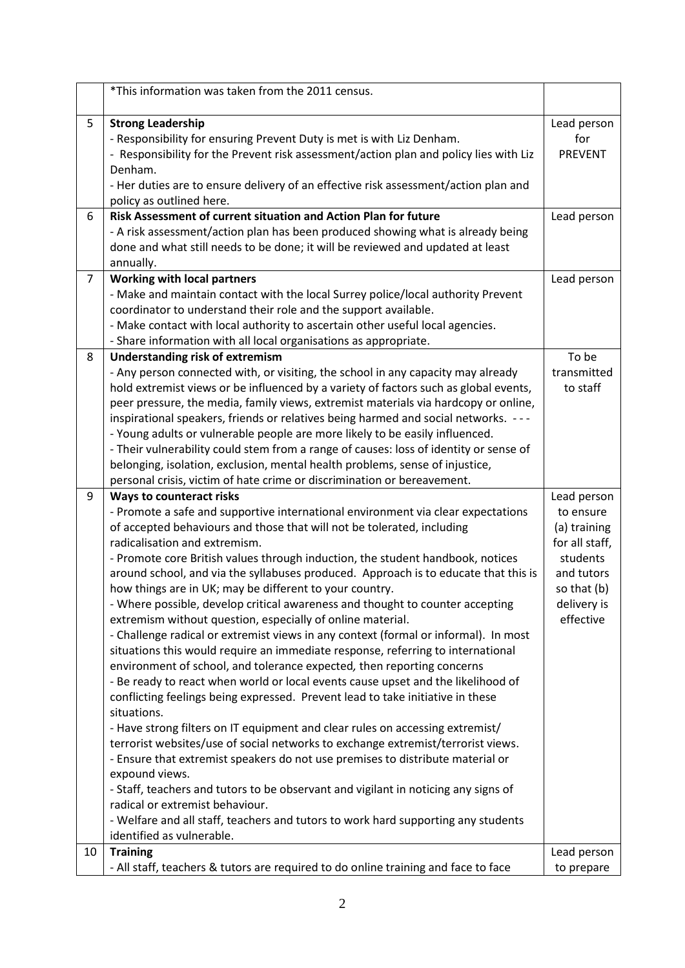|                | *This information was taken from the 2011 census.                                                                                                                                                                                                                                                                                                                                                                                                                                                                                                                                                                                                                                                                                                                                                                                                                                                                                                                                                                                                                                                                                                                                                                                                                                                                                                                                                                                                                                                                                                 |                                                                                                                                 |
|----------------|---------------------------------------------------------------------------------------------------------------------------------------------------------------------------------------------------------------------------------------------------------------------------------------------------------------------------------------------------------------------------------------------------------------------------------------------------------------------------------------------------------------------------------------------------------------------------------------------------------------------------------------------------------------------------------------------------------------------------------------------------------------------------------------------------------------------------------------------------------------------------------------------------------------------------------------------------------------------------------------------------------------------------------------------------------------------------------------------------------------------------------------------------------------------------------------------------------------------------------------------------------------------------------------------------------------------------------------------------------------------------------------------------------------------------------------------------------------------------------------------------------------------------------------------------|---------------------------------------------------------------------------------------------------------------------------------|
| 5              | <b>Strong Leadership</b><br>- Responsibility for ensuring Prevent Duty is met is with Liz Denham.<br>- Responsibility for the Prevent risk assessment/action plan and policy lies with Liz<br>Denham.<br>- Her duties are to ensure delivery of an effective risk assessment/action plan and<br>policy as outlined here.                                                                                                                                                                                                                                                                                                                                                                                                                                                                                                                                                                                                                                                                                                                                                                                                                                                                                                                                                                                                                                                                                                                                                                                                                          | Lead person<br>for<br><b>PREVENT</b>                                                                                            |
| 6              | Risk Assessment of current situation and Action Plan for future<br>- A risk assessment/action plan has been produced showing what is already being<br>done and what still needs to be done; it will be reviewed and updated at least                                                                                                                                                                                                                                                                                                                                                                                                                                                                                                                                                                                                                                                                                                                                                                                                                                                                                                                                                                                                                                                                                                                                                                                                                                                                                                              | Lead person                                                                                                                     |
|                | annually.                                                                                                                                                                                                                                                                                                                                                                                                                                                                                                                                                                                                                                                                                                                                                                                                                                                                                                                                                                                                                                                                                                                                                                                                                                                                                                                                                                                                                                                                                                                                         |                                                                                                                                 |
| $\overline{7}$ | <b>Working with local partners</b><br>- Make and maintain contact with the local Surrey police/local authority Prevent<br>coordinator to understand their role and the support available.<br>- Make contact with local authority to ascertain other useful local agencies.                                                                                                                                                                                                                                                                                                                                                                                                                                                                                                                                                                                                                                                                                                                                                                                                                                                                                                                                                                                                                                                                                                                                                                                                                                                                        | Lead person                                                                                                                     |
| 8              | - Share information with all local organisations as appropriate.<br><b>Understanding risk of extremism</b><br>- Any person connected with, or visiting, the school in any capacity may already<br>hold extremist views or be influenced by a variety of factors such as global events,<br>peer pressure, the media, family views, extremist materials via hardcopy or online,<br>inspirational speakers, friends or relatives being harmed and social networks. ---<br>- Young adults or vulnerable people are more likely to be easily influenced.<br>- Their vulnerability could stem from a range of causes: loss of identity or sense of<br>belonging, isolation, exclusion, mental health problems, sense of injustice,<br>personal crisis, victim of hate crime or discrimination or bereavement.                                                                                                                                                                                                                                                                                                                                                                                                                                                                                                                                                                                                                                                                                                                                           | To be<br>transmitted<br>to staff                                                                                                |
| 9              | <b>Ways to counteract risks</b><br>- Promote a safe and supportive international environment via clear expectations<br>of accepted behaviours and those that will not be tolerated, including<br>radicalisation and extremism.<br>- Promote core British values through induction, the student handbook, notices<br>around school, and via the syllabuses produced. Approach is to educate that this is<br>how things are in UK; may be different to your country.<br>- Where possible, develop critical awareness and thought to counter accepting<br>extremism without question, especially of online material.<br>- Challenge radical or extremist views in any context (formal or informal). In most<br>situations this would require an immediate response, referring to international<br>environment of school, and tolerance expected, then reporting concerns<br>- Be ready to react when world or local events cause upset and the likelihood of<br>conflicting feelings being expressed. Prevent lead to take initiative in these<br>situations.<br>- Have strong filters on IT equipment and clear rules on accessing extremist/<br>terrorist websites/use of social networks to exchange extremist/terrorist views.<br>- Ensure that extremist speakers do not use premises to distribute material or<br>expound views.<br>- Staff, teachers and tutors to be observant and vigilant in noticing any signs of<br>radical or extremist behaviour.<br>- Welfare and all staff, teachers and tutors to work hard supporting any students | Lead person<br>to ensure<br>(a) training<br>for all staff,<br>students<br>and tutors<br>so that (b)<br>delivery is<br>effective |
| 10             | identified as vulnerable.<br><b>Training</b><br>- All staff, teachers & tutors are required to do online training and face to face                                                                                                                                                                                                                                                                                                                                                                                                                                                                                                                                                                                                                                                                                                                                                                                                                                                                                                                                                                                                                                                                                                                                                                                                                                                                                                                                                                                                                | Lead person<br>to prepare                                                                                                       |